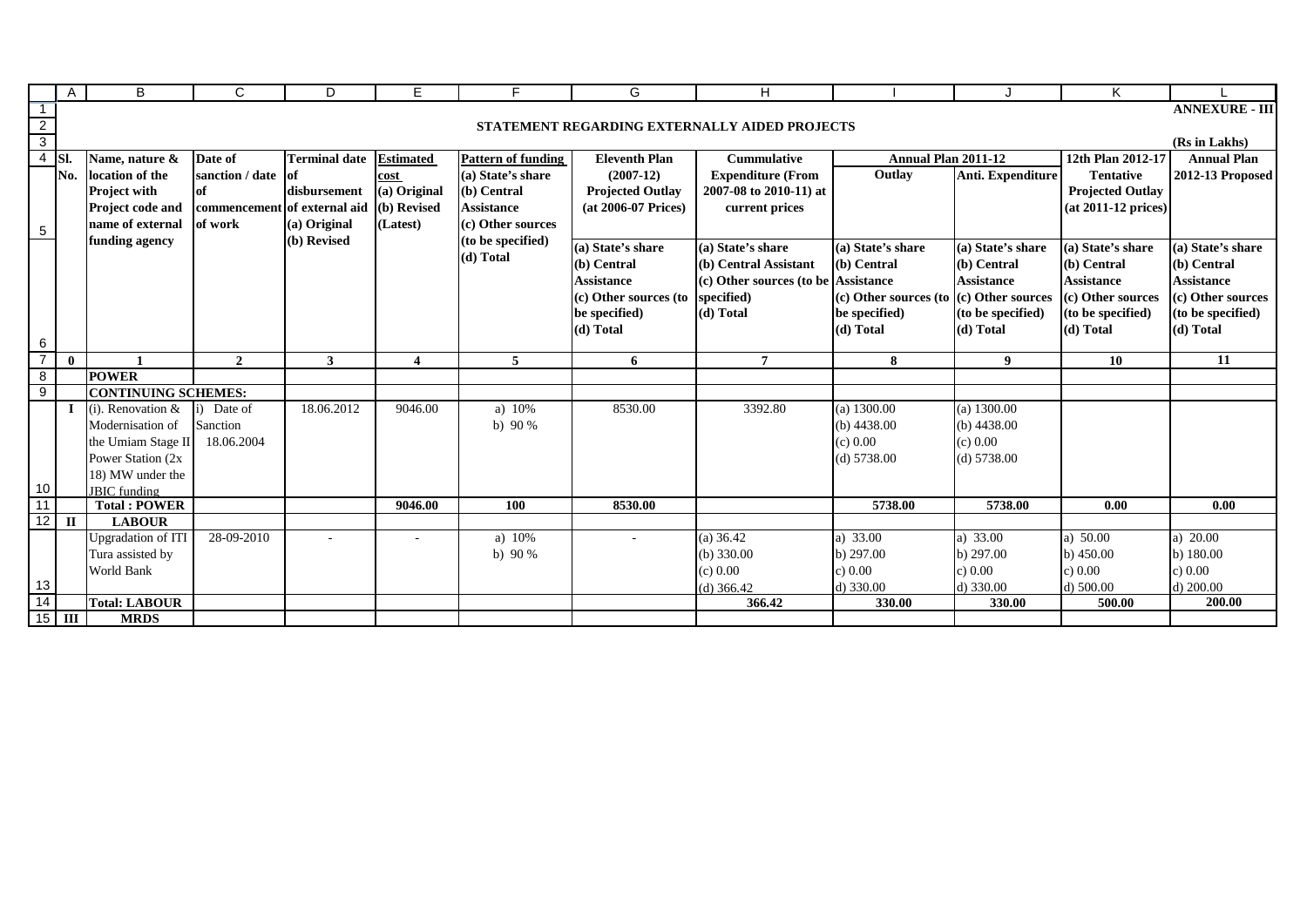|                | Α                    | B                                   | C                            | D                    | Е                       | F                         | G                       | H                                             |                                             |                   | Κ                       |                       |
|----------------|----------------------|-------------------------------------|------------------------------|----------------------|-------------------------|---------------------------|-------------------------|-----------------------------------------------|---------------------------------------------|-------------------|-------------------------|-----------------------|
| $\overline{1}$ |                      |                                     |                              |                      |                         |                           |                         |                                               |                                             |                   |                         | <b>ANNEXURE - III</b> |
| $\frac{2}{3}$  |                      |                                     |                              |                      |                         |                           |                         | STATEMENT REGARDING EXTERNALLY AIDED PROJECTS |                                             |                   |                         |                       |
|                |                      |                                     |                              |                      |                         |                           |                         |                                               |                                             |                   |                         | (Rs in Lakhs)         |
|                | $4$ Sl.              | Name, nature &                      | Date of                      | <b>Terminal date</b> | <b>Estimated</b>        | <b>Pattern of funding</b> | <b>Eleventh Plan</b>    | <b>Cummulative</b>                            | <b>Annual Plan 2011-12</b>                  |                   | 12th Plan 2012-17       | <b>Annual Plan</b>    |
|                | No.                  | location of the                     | sanction / date              | of                   | cost                    | (a) State's share         | $(2007-12)$             | <b>Expenditure (From</b>                      | Outlay                                      | Anti. Expenditure | <b>Tentative</b>        | 2012-13 Proposed      |
|                |                      | <b>Project with</b>                 | of                           | disbursement         | (a) Original            | (b) Central               | <b>Projected Outlay</b> | 2007-08 to 2010-11) at                        |                                             |                   | <b>Projected Outlay</b> |                       |
|                |                      | Project code and                    | commencement of external aid |                      | (b) Revised             | <b>Assistance</b>         | (at 2006-07 Prices)     | current prices                                |                                             |                   | (at 2011-12 prices)     |                       |
| $\sqrt{5}$     |                      | name of external                    | of work                      | (a) Original         | (Latest)                | (c) Other sources         |                         |                                               |                                             |                   |                         |                       |
|                |                      | funding agency                      |                              | (b) Revised          |                         | (to be specified)         | (a) State's share       | (a) State's share                             | (a) State's share                           | (a) State's share | (a) State's share       | (a) State's share     |
|                |                      |                                     |                              |                      |                         | (d) Total                 | (b) Central             | (b) Central Assistant                         | (b) Central                                 | (b) Central       | (b) Central             | (b) Central           |
|                |                      |                                     |                              |                      |                         |                           | <b>Assistance</b>       | (c) Other sources (to be                      | <b>Assistance</b>                           | <b>Assistance</b> | <b>Assistance</b>       | <b>Assistance</b>     |
|                |                      |                                     |                              |                      |                         |                           | (c) Other sources (to   | specified)                                    | $(c)$ Other sources (to $(c)$ Other sources |                   | (c) Other sources       | (c) Other sources     |
|                |                      |                                     |                              |                      |                         |                           | be specified)           | (d) Total                                     | be specified)                               | (to be specified) | (to be specified)       | (to be specified)     |
|                |                      |                                     |                              |                      |                         |                           | (d) Total               |                                               | (d) Total                                   | (d) Total         | (d) Total               | (d) Total             |
| 6              |                      |                                     |                              |                      |                         |                           |                         |                                               |                                             |                   |                         |                       |
|                |                      |                                     |                              |                      |                         |                           |                         |                                               |                                             |                   |                         |                       |
| $\overline{7}$ | $\mathbf{0}$         |                                     | $\overline{2}$               | $\mathbf{3}$         | $\overline{\mathbf{4}}$ | 5                         | 6                       | 7                                             | 8                                           | 9                 | 10                      | 11                    |
| 8              |                      | <b>POWER</b>                        |                              |                      |                         |                           |                         |                                               |                                             |                   |                         |                       |
| 9              |                      | <b>CONTINUING SCHEMES:</b>          |                              |                      |                         |                           |                         |                                               |                                             |                   |                         |                       |
|                | $\mathbf I$          | $(i)$ . Renovation &                | Date of                      | 18.06.2012           | 9046.00                 | a) $10%$                  | 8530.00                 | 3392.80                                       | $(a)$ 1300.00                               | $(a)$ 1300.00     |                         |                       |
|                |                      | Modernisation of                    | Sanction                     |                      |                         | b) $90%$                  |                         |                                               | (b) $4438.00$                               | (b) $4438.00$     |                         |                       |
|                |                      | the Umiam Stage II                  | 18.06.2004                   |                      |                         |                           |                         |                                               | (c) 0.00                                    | (c) 0.00          |                         |                       |
|                |                      | Power Station (2x)                  |                              |                      |                         |                           |                         |                                               | (d) 5738.00                                 | (d) 5738.00       |                         |                       |
|                |                      | 18) MW under the                    |                              |                      |                         |                           |                         |                                               |                                             |                   |                         |                       |
| 10             |                      | <b>JBIC</b> funding                 |                              |                      |                         |                           |                         |                                               |                                             |                   |                         |                       |
| 11             |                      | <b>Total: POWER</b>                 |                              |                      | 9046.00                 | 100                       | 8530.00                 |                                               | 5738.00                                     | 5738.00           | 0.00                    | 0.00                  |
|                | $12$ $\overline{II}$ | <b>LABOUR</b>                       |                              |                      |                         |                           |                         |                                               |                                             |                   |                         |                       |
|                |                      | <b>Upgradation of ITI</b>           | 28-09-2010                   |                      |                         | a) 10%                    |                         | $(a)$ 36.42                                   | a) 33.00                                    | a) 33.00          | a) $50.00$              | a) 20.00              |
|                |                      | Tura assisted by                    |                              |                      |                         | b) $90%$                  |                         | $(b)$ 330.00                                  | b) 297.00                                   | $b)$ 297.00       | b) $450.00$             | b) 180.00             |
|                |                      | <b>World Bank</b>                   |                              |                      |                         |                           |                         | (c) 0.00                                      | c) 0.00                                     | c) 0.00           | c) 0.00                 | c) 0.00               |
| 13             |                      |                                     |                              |                      |                         |                           |                         | $(d)$ 366.42                                  | d) 330.00                                   | d) 330.00         | $d)$ 500.00             | $d)$ 200.00           |
| 14             | $15$ III             | <b>Total: LABOUR</b><br><b>MRDS</b> |                              |                      |                         |                           |                         | 366.42                                        | 330.00                                      | 330.00            | 500.00                  | 200.00                |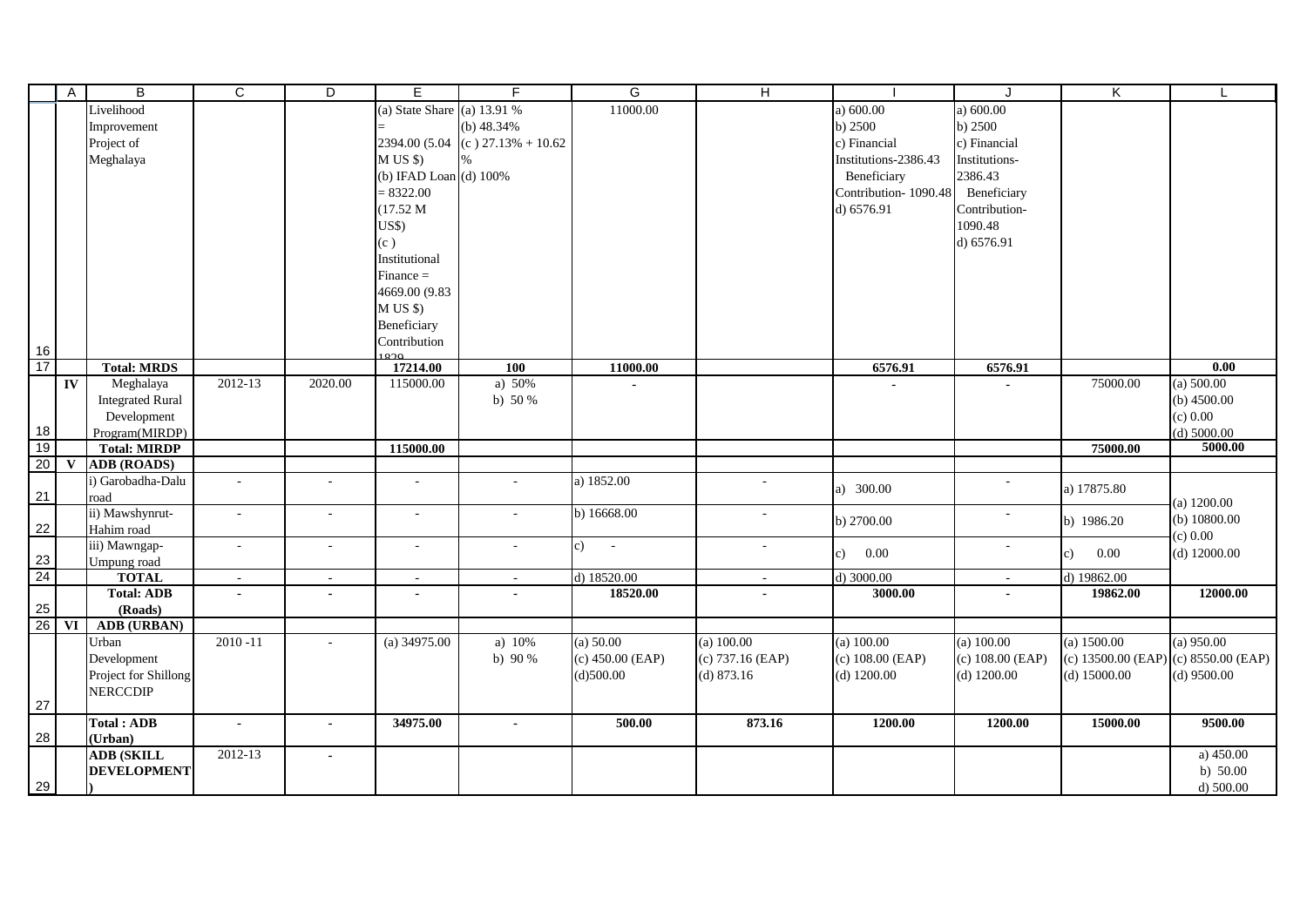|                       | $\overline{A}$ | B                                     | C                        | D              | E.                           | F                        | G                  | н                |                      | J                        | K                  | L                        |
|-----------------------|----------------|---------------------------------------|--------------------------|----------------|------------------------------|--------------------------|--------------------|------------------|----------------------|--------------------------|--------------------|--------------------------|
|                       |                | Livelihood                            |                          |                | (a) State Share (a) $13.91%$ |                          | 11000.00           |                  | a) $600.00$          | a) $600.00$              |                    |                          |
|                       |                | Improvement                           |                          |                |                              | (b) $48.34%$             |                    |                  | b) 2500              | b) 2500                  |                    |                          |
|                       |                | Project of                            |                          |                | 2394.00 (5.04                | $(c)$ 27.13% + 10.62     |                    |                  | c) Financial         | c) Financial             |                    |                          |
|                       |                | Meghalaya                             |                          |                | M US \$                      |                          |                    |                  | Institutions-2386.43 | Institutions-            |                    |                          |
|                       |                |                                       |                          |                | (b) IFAD Loan (d) 100%       |                          |                    |                  | Beneficiary          | 2386.43                  |                    |                          |
|                       |                |                                       |                          |                | $= 8322.00$                  |                          |                    |                  | Contribution-1090.48 | Beneficiary              |                    |                          |
|                       |                |                                       |                          |                | (17.52 M)                    |                          |                    |                  | d) 6576.91           | Contribution-            |                    |                          |
|                       |                |                                       |                          |                | US\$                         |                          |                    |                  |                      | 1090.48                  |                    |                          |
|                       |                |                                       |                          |                | (c)                          |                          |                    |                  |                      | d) 6576.91               |                    |                          |
|                       |                |                                       |                          |                | Institutional                |                          |                    |                  |                      |                          |                    |                          |
|                       |                |                                       |                          |                | $Finance =$                  |                          |                    |                  |                      |                          |                    |                          |
|                       |                |                                       |                          |                | 4669.00 (9.83                |                          |                    |                  |                      |                          |                    |                          |
|                       |                |                                       |                          |                | M US \$                      |                          |                    |                  |                      |                          |                    |                          |
|                       |                |                                       |                          |                | Beneficiary                  |                          |                    |                  |                      |                          |                    |                          |
|                       |                |                                       |                          |                | Contribution                 |                          |                    |                  |                      |                          |                    |                          |
| 16<br>$\frac{18}{17}$ |                |                                       |                          |                | $\circ$                      |                          |                    |                  |                      |                          |                    |                          |
|                       |                | <b>Total: MRDS</b>                    |                          |                | 17214.00                     | 100                      | 11000.00           |                  | 6576.91              | 6576.91                  |                    | $\overline{0.00}$        |
|                       | IV             | Meghalaya                             | 2012-13                  | 2020.00        | 115000.00                    | a) 50%                   | $\blacksquare$     |                  |                      | $\blacksquare$           | 75000.00           | (a) 500.00               |
|                       |                | <b>Integrated Rural</b>               |                          |                |                              | b) $50%$                 |                    |                  |                      |                          |                    | (b) $4500.00$            |
|                       |                | Development                           |                          |                |                              |                          |                    |                  |                      |                          |                    | (c) 0.00                 |
| $\frac{18}{19}$       |                | Program(MIRDP)<br><b>Total: MIRDP</b> |                          |                | 115000.00                    |                          |                    |                  |                      |                          |                    | (d) $5000.00$<br>5000.00 |
| 20                    | $\mathbf{V}$   | <b>ADB</b> (ROADS)                    |                          |                |                              |                          |                    |                  |                      |                          | 75000.00           |                          |
|                       |                | i) Garobadha-Dalu                     | $\sim$                   |                | $\blacksquare$               |                          | a) 1852.00         |                  |                      |                          |                    |                          |
| 21                    |                | road                                  |                          |                |                              |                          |                    |                  | a) 300.00            |                          | a) 17875.80        |                          |
|                       |                | ii) Mawshynrut-                       | $\sim$                   | $\sim$         | ÷.                           |                          | b) 16668.00        | $\sim$           |                      | $\sim$                   |                    | (a) $1200.00$            |
| 22                    |                | Hahim road                            |                          |                |                              |                          |                    |                  | b) 2700.00           |                          | b) 1986.20         | (b) $10800.00$           |
|                       |                | iii) Mawngap-                         | $\sim$                   | $\sim$         | $\sim$                       | $\sim$                   | c)<br>$\sim$ $-$   | $\sim$           |                      | $\overline{\phantom{a}}$ |                    | (c) 0.00                 |
|                       |                | Umpung road                           |                          |                |                              |                          |                    |                  | 0.00<br>c)           |                          | 0.00<br>c)         | $(d)$ 12000.00           |
| $\frac{23}{24}$       |                | <b>TOTAL</b>                          | $\overline{a}$           | $\sim$         | $\sim$                       | $\sim$                   | d) 18520.00        | $\sim$           | d) $3000.00$         | $\omega$                 | d) 19862.00        |                          |
|                       |                | <b>Total: ADB</b>                     | $\overline{\phantom{a}}$ | $\blacksquare$ | $\blacksquare$               |                          | 18520.00           |                  | 3000.00              | $\blacksquare$           | 19862.00           | 12000.00                 |
| $\frac{25}{26}$       |                | (Roads)                               |                          |                |                              |                          |                    |                  |                      |                          |                    |                          |
|                       | <b>VI</b>      | <b>ADB</b> (URBAN)                    |                          |                |                              |                          |                    |                  |                      |                          |                    |                          |
|                       |                | Urban                                 | $2010 - 11$              |                | (a) $34975.00$               | a) $10\%$                | (a) 50.00          | (a) $100.00$     | $(a)$ 100.00         | $(a)$ 100.00             | (a) 1500.00        | $(a)$ 950.00             |
|                       |                | Development                           |                          |                |                              | b) $90%$                 | $(c)$ 450.00 (EAP) | (c) 737.16 (EAP) | (c) 108.00 (EAP)     | (c) 108.00 (EAP)         | (c) 13500.00 (EAP) | (c) 8550.00 (EAP)        |
|                       |                | Project for Shillong                  |                          |                |                              |                          | (d)500.00          | $(d)$ 873.16     | $(d)$ 1200.00        | $(d)$ 1200.00            | $(d)$ 15000.00     | $(d)$ 9500.00            |
|                       |                | <b>NERCCDIP</b>                       |                          |                |                              |                          |                    |                  |                      |                          |                    |                          |
| 27                    |                |                                       |                          |                |                              |                          |                    |                  |                      |                          |                    |                          |
| 28                    |                | <b>Total: ADB</b>                     | $\overline{\phantom{a}}$ | $\blacksquare$ | 34975.00                     | $\overline{\phantom{a}}$ | 500.00             | 873.16           | 1200.00              | 1200.00                  | 15000.00           | 9500.00                  |
|                       |                | (Urban)<br><b>ADB (SKILL</b>          | 2012-13                  | $\blacksquare$ |                              |                          |                    |                  |                      |                          |                    | a) $450.00$              |
|                       |                | <b>DEVELOPMENT</b>                    |                          |                |                              |                          |                    |                  |                      |                          |                    | b) $50.00$               |
| 29                    |                |                                       |                          |                |                              |                          |                    |                  |                      |                          |                    | d) $500.00$              |
|                       |                |                                       |                          |                |                              |                          |                    |                  |                      |                          |                    |                          |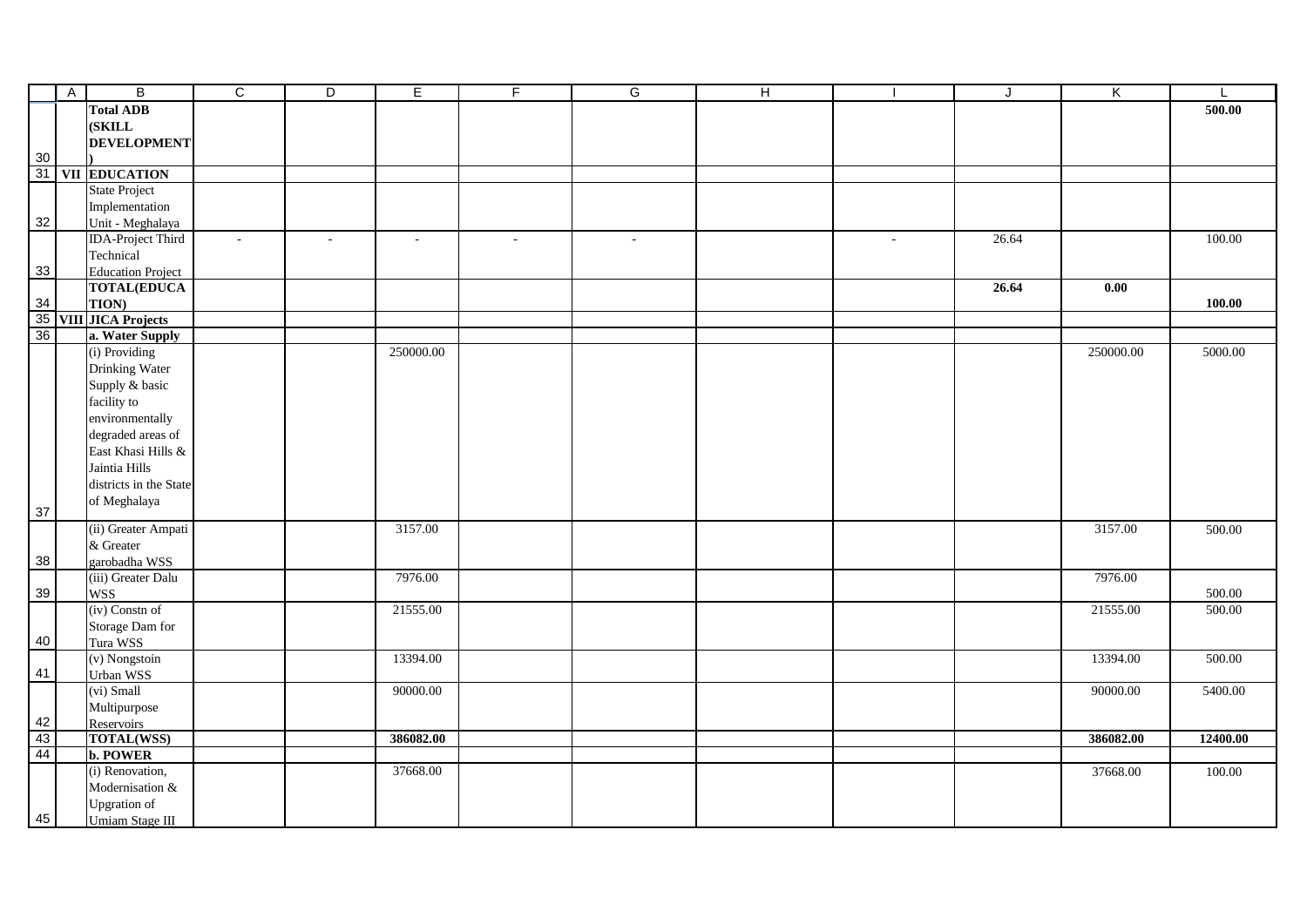|    | $\overline{A}$ | B                        | $\overline{c}$ | $\overline{D}$ | E         | F.     | G      | $\overline{H}$ |        | J     | Κ         | L        |
|----|----------------|--------------------------|----------------|----------------|-----------|--------|--------|----------------|--------|-------|-----------|----------|
|    |                | <b>Total ADB</b>         |                |                |           |        |        |                |        |       |           | 500.00   |
|    |                | (SKILL                   |                |                |           |        |        |                |        |       |           |          |
|    |                | <b>DEVELOPMENT</b>       |                |                |           |        |        |                |        |       |           |          |
| 30 |                |                          |                |                |           |        |        |                |        |       |           |          |
|    |                | 31 VII EDUCATION         |                |                |           |        |        |                |        |       |           |          |
|    |                | <b>State Project</b>     |                |                |           |        |        |                |        |       |           |          |
|    |                | Implementation           |                |                |           |        |        |                |        |       |           |          |
| 32 |                | Unit - Meghalaya         |                |                |           |        |        |                |        |       |           |          |
|    |                | <b>IDA-Project Third</b> | $\sim$         | $\sim$         | $\sim$    | $\sim$ | $\sim$ |                | $\sim$ | 26.64 |           | 100.00   |
|    |                | Technical                |                |                |           |        |        |                |        |       |           |          |
| 33 |                | <b>Education Project</b> |                |                |           |        |        |                |        |       |           |          |
|    |                | <b>TOTAL(EDUCA</b>       |                |                |           |        |        |                |        | 26.64 | 0.00      |          |
| 34 |                | TION)                    |                |                |           |        |        |                |        |       |           | 100.00   |
|    |                | 35 VIII JICA Projects    |                |                |           |        |        |                |        |       |           |          |
| 36 |                | a. Water Supply          |                |                |           |        |        |                |        |       |           |          |
|    |                | (i) Providing            |                |                | 250000.00 |        |        |                |        |       | 250000.00 | 5000.00  |
|    |                | Drinking Water           |                |                |           |        |        |                |        |       |           |          |
|    |                | Supply & basic           |                |                |           |        |        |                |        |       |           |          |
|    |                | facility to              |                |                |           |        |        |                |        |       |           |          |
|    |                | environmentally          |                |                |           |        |        |                |        |       |           |          |
|    |                | degraded areas of        |                |                |           |        |        |                |        |       |           |          |
|    |                | East Khasi Hills &       |                |                |           |        |        |                |        |       |           |          |
|    |                | Jaintia Hills            |                |                |           |        |        |                |        |       |           |          |
|    |                | districts in the State   |                |                |           |        |        |                |        |       |           |          |
|    |                | of Meghalaya             |                |                |           |        |        |                |        |       |           |          |
| 37 |                |                          |                |                |           |        |        |                |        |       |           |          |
|    |                | (ii) Greater Ampati      |                |                | 3157.00   |        |        |                |        |       | 3157.00   | 500.00   |
|    |                | & Greater                |                |                |           |        |        |                |        |       |           |          |
| 38 |                | garobadha WSS            |                |                |           |        |        |                |        |       |           |          |
|    |                | (iii) Greater Dalu       |                |                | 7976.00   |        |        |                |        |       | 7976.00   |          |
| 39 |                | <b>WSS</b>               |                |                |           |        |        |                |        |       |           | 500.00   |
|    |                | (iv) Constn of           |                |                | 21555.00  |        |        |                |        |       | 21555.00  | 500.00   |
|    |                | Storage Dam for          |                |                |           |        |        |                |        |       |           |          |
| 40 |                | Tura WSS                 |                |                |           |        |        |                |        |       |           |          |
|    |                | (v) Nongstoin            |                |                | 13394.00  |        |        |                |        |       | 13394.00  | 500.00   |
| 41 |                | Urban WSS                |                |                |           |        |        |                |        |       |           |          |
|    |                | (vi) Small               |                |                | 90000.00  |        |        |                |        |       | 90000.00  | 5400.00  |
|    |                | Multipurpose             |                |                |           |        |        |                |        |       |           |          |
| 42 |                | Reservoirs               |                |                |           |        |        |                |        |       |           |          |
| 43 |                | <b>TOTAL(WSS)</b>        |                |                | 386082.00 |        |        |                |        |       | 386082.00 | 12400.00 |
| 44 |                | b. POWER                 |                |                |           |        |        |                |        |       |           |          |
|    |                | (i) Renovation,          |                |                | 37668.00  |        |        |                |        |       | 37668.00  | 100.00   |
|    |                | Modernisation &          |                |                |           |        |        |                |        |       |           |          |
|    |                | <b>Upgration</b> of      |                |                |           |        |        |                |        |       |           |          |
| 45 |                | Umiam Stage III          |                |                |           |        |        |                |        |       |           |          |